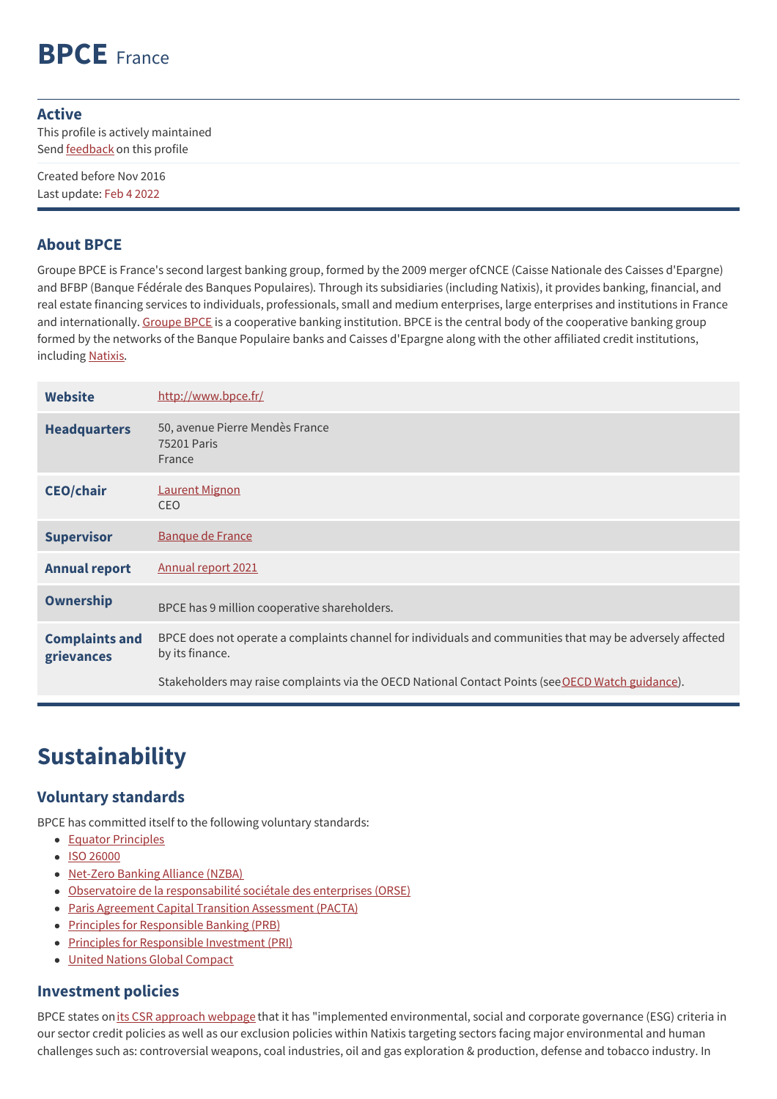# **BPCE** France

#### **Active**

This profile is actively maintained Send **[feedback](https://www.banktrack.org/feedback/bankprofile/bpce_group)** on this profile

Created before Nov 2016 Last update: Feb 4 2022

#### **About BPCE**

Groupe BPCE is France's second largest banking group, formed by the 2009 merger ofCNCE (Caisse Nationale des Caisses d'Epargne) and BFBP (Banque Fédérale des Banques Populaires). Through its subsidiaries (including Natixis), it provides banking, financial, and real estate financing services to individuals, professionals, small and medium enterprises, large enterprises and institutions in France and internationally. [Groupe](https://www.groupebpce.fr/en/The-Group/Organization/Organization-chart) BPCE is a cooperative banking institution. BPCE is the central body of the cooperative banking group formed by the networks of the Banque Populaire banks and Caisses d'Epargne along with the other affiliated credit institutions, including [Natixis](https://www.banktrack.org/bank/natixis).

| <b>Website</b>                      | http://www.bpce.fr/                                                                                                          |
|-------------------------------------|------------------------------------------------------------------------------------------------------------------------------|
| <b>Headquarters</b>                 | 50, avenue Pierre Mendès France<br>75201 Paris<br>France                                                                     |
| <b>CEO/chair</b>                    | <b>Laurent Mignon</b><br><b>CEO</b>                                                                                          |
| <b>Supervisor</b>                   | <b>Banque de France</b>                                                                                                      |
| <b>Annual report</b>                | Annual report 2021                                                                                                           |
| <b>Ownership</b>                    | BPCE has 9 million cooperative shareholders.                                                                                 |
| <b>Complaints and</b><br>grievances | BPCE does not operate a complaints channel for individuals and communities that may be adversely affected<br>by its finance. |
|                                     | Stakeholders may raise complaints via the OECD National Contact Points (see OECD Watch guidance).                            |

# **Sustainability**

### **Voluntary standards**

BPCE has committed itself to the following voluntary standards:

- Equator [Principles](http://www.equator-principles.com)
- ISO [26000](http://www.iso.org/iso/home/standards/iso26000.htm)
- [Net-Zero](https://www.unepfi.org/net-zero-banking/) Banking Alliance (NZBA)
- Observatoire de la [responsabilité](https://www.orse.org/) sociétale des enterprises (ORSE)
- Paris Agreement Capital Transition [Assessment](https://2degrees-investing.org/resource/pacta/) (PACTA)
- Principles for [Responsible](http://www.unepfi.org/banking/bankingprinciples/) Banking (PRB)
- Principles for [Responsible](http://www.unpri.org/) Investment (PRI)
- United Nations Global [Compact](http://www.unglobalcompact.org/)

### **Investment policies**

BPCE states on its CSR [approach](https://groupebpce.com/en/csr/our-csr-approach) webpage that it has "implemented environmental, social and corporate governance (ESG) criteria in our sector credit policies as well as our exclusion policies within Natixis targeting sectors facing major environmental and human challenges such as: controversial weapons, coal industries, oil and gas exploration & production, defense and tobacco industry. In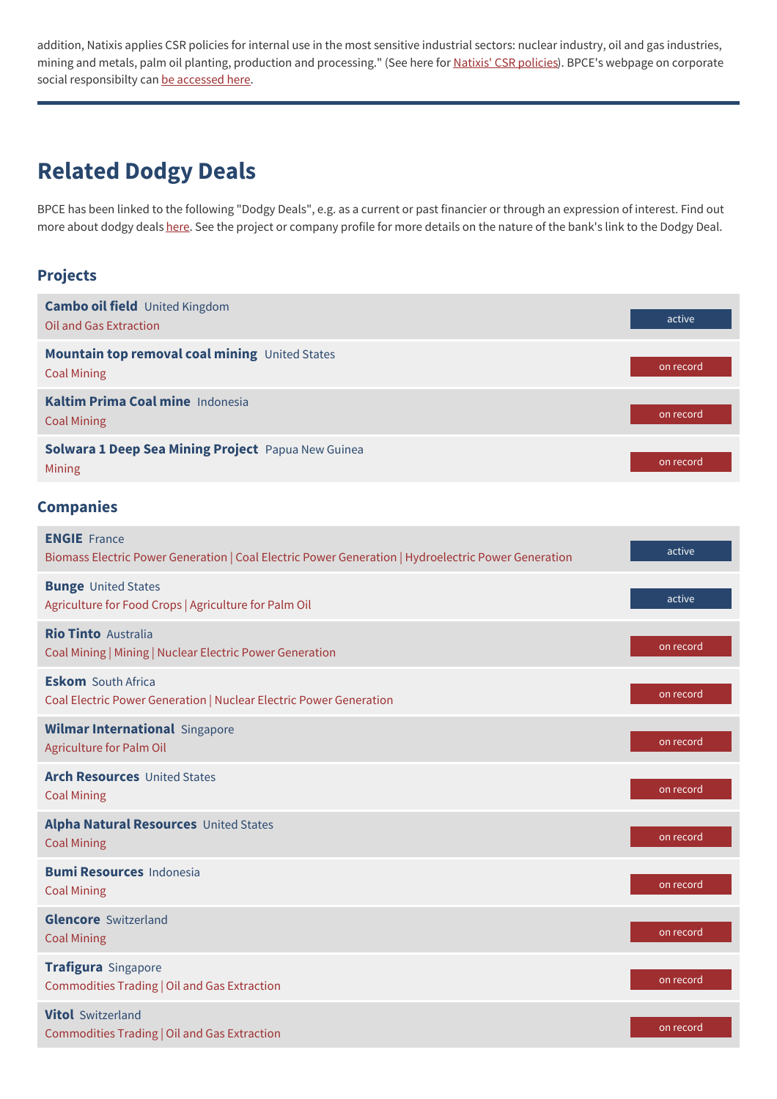addition, Natixis applies CSR policies for internal use in the most sensitive industrial sectors: nuclear industry, oil and gas industries, mining and metals, palm oil planting, production and processing." (See here for **Natixis' CSR policies**). BPCE's webpage on corporate social responsibilty can be [accessed](https://groupebpce.com/en/csr/our-csr-approach) here.

## **Related Dodgy Deals**

BPCE has been linked to the following "Dodgy Deals", e.g. as a current or past financier or through an expression of interest. Find out more about dodgy deals [here](https://www.banktrack.org/show/page/what_are_dodgy_deals). See the project or company profile for more details on the nature of the bank's link to the Dodgy Deal.

#### **Projects**

| <b>Cambo oil field</b> United Kingdom<br><b>Oil and Gas Extraction</b>                                                     | active    |
|----------------------------------------------------------------------------------------------------------------------------|-----------|
| Mountain top removal coal mining United States<br><b>Coal Mining</b>                                                       | on record |
| Kaltim Prima Coal mine Indonesia<br><b>Coal Mining</b>                                                                     | on record |
| Solwara 1 Deep Sea Mining Project Papua New Guinea<br>Mining                                                               | on record |
| <b>Companies</b>                                                                                                           |           |
| <b>ENGIE</b> France<br>Biomass Electric Power Generation   Coal Electric Power Generation   Hydroelectric Power Generation | active    |
| <b>Bunge United States</b><br>Agriculture for Food Crops   Agriculture for Palm Oil                                        | active    |
| <b>Rio Tinto Australia</b><br>Coal Mining   Mining   Nuclear Electric Power Generation                                     | on record |
| <b>Eskom</b> South Africa<br>Coal Electric Power Generation   Nuclear Electric Power Generation                            | on record |
| <b>Wilmar International Singapore</b><br>Agriculture for Palm Oil                                                          | on record |
| <b>Arch Resources United States</b><br><b>Coal Mining</b>                                                                  | on record |
| <b>Alpha Natural Resources United States</b><br><b>Coal Mining</b>                                                         | on record |
| <b>Bumi Resources Indonesia</b><br><b>Coal Mining</b>                                                                      | on record |
| <b>Glencore</b> Switzerland<br><b>Coal Mining</b>                                                                          | on record |
| Trafigura Singapore<br>Commodities Trading   Oil and Gas Extraction                                                        | on record |
| <b>Vitol</b> Switzerland<br>Commodities Trading   Oil and Gas Extraction                                                   | on record |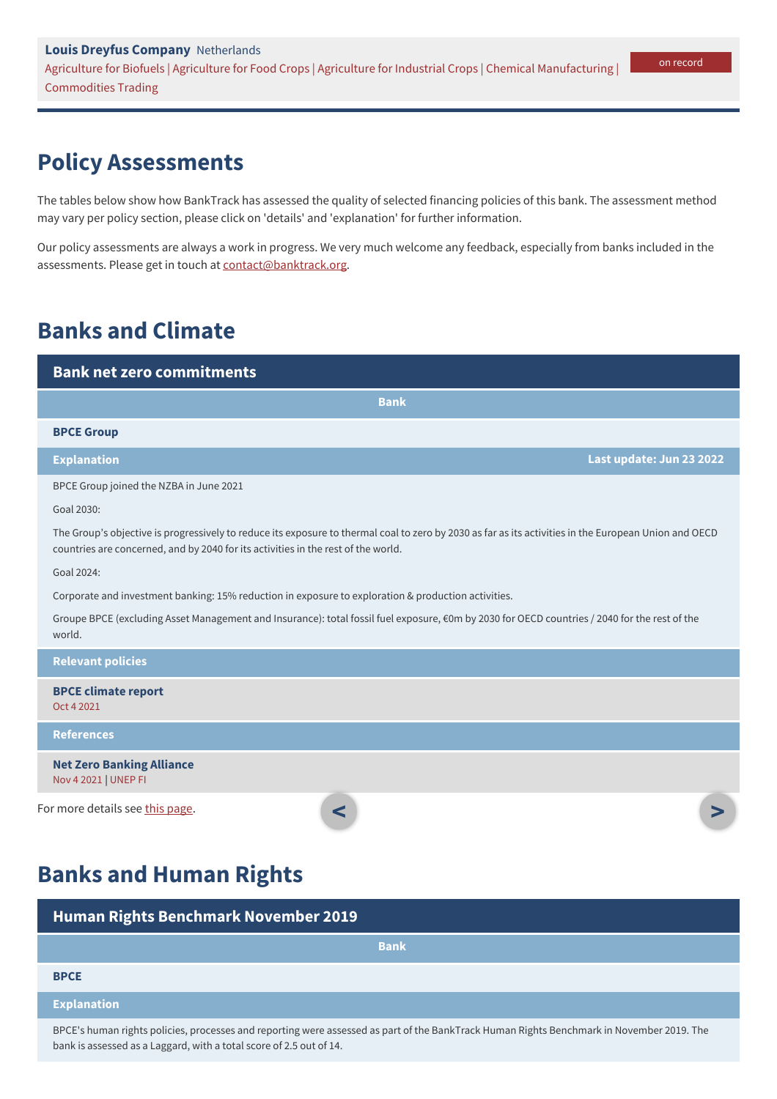## **Policy Assessments**

The tables below show how BankTrack has assessed the quality of selected financing policies of this bank. The assessment method may vary per policy section, please click on 'details' and 'explanation' for further information.

Our policy assessments are always a work in progress. We very much welcome any feedback, especially from banks included in the assessments. Please get in touch at [contact@banktrack.org](mailto:climate@banktrack.org).

### **Banks and Climate**

bank is assessed as a Laggard, with a total score of 2.5 out of 14.

| <b>Bank net zero commitments</b>                                                                                                                                                                                                           |                          |
|--------------------------------------------------------------------------------------------------------------------------------------------------------------------------------------------------------------------------------------------|--------------------------|
| <b>Bank</b>                                                                                                                                                                                                                                |                          |
| <b>BPCE Group</b>                                                                                                                                                                                                                          |                          |
| <b>Explanation</b>                                                                                                                                                                                                                         | Last update: Jun 23 2022 |
| BPCE Group joined the NZBA in June 2021                                                                                                                                                                                                    |                          |
| Goal 2030:                                                                                                                                                                                                                                 |                          |
| The Group's objective is progressively to reduce its exposure to thermal coal to zero by 2030 as far as its activities in the European Union and OECD<br>countries are concerned, and by 2040 for its activities in the rest of the world. |                          |
| Goal 2024:                                                                                                                                                                                                                                 |                          |
| Corporate and investment banking: 15% reduction in exposure to exploration & production activities.                                                                                                                                        |                          |
| Groupe BPCE (excluding Asset Management and Insurance): total fossil fuel exposure, €0m by 2030 for OECD countries / 2040 for the rest of the<br>world.                                                                                    |                          |
| <b>Relevant policies</b>                                                                                                                                                                                                                   |                          |
| <b>BPCE climate report</b><br>Oct 4 2021                                                                                                                                                                                                   |                          |
| <b>References</b>                                                                                                                                                                                                                          |                          |
| <b>Net Zero Banking Alliance</b><br>Nov 4 2021   UNEP FI                                                                                                                                                                                   |                          |
| For more details see this page.<br>$\prec$                                                                                                                                                                                                 |                          |
| <b>Banks and Human Rights</b>                                                                                                                                                                                                              |                          |

| <b>Human Rights Benchmark November 2019</b>                                                                                               |  |
|-------------------------------------------------------------------------------------------------------------------------------------------|--|
| <b>Bank</b>                                                                                                                               |  |
| <b>BPCE</b>                                                                                                                               |  |
| <b>Explanation</b>                                                                                                                        |  |
| BPCE's human rights policies, processes and reporting were assessed as part of the BankTrack Human Rights Benchmark in November 2019. The |  |